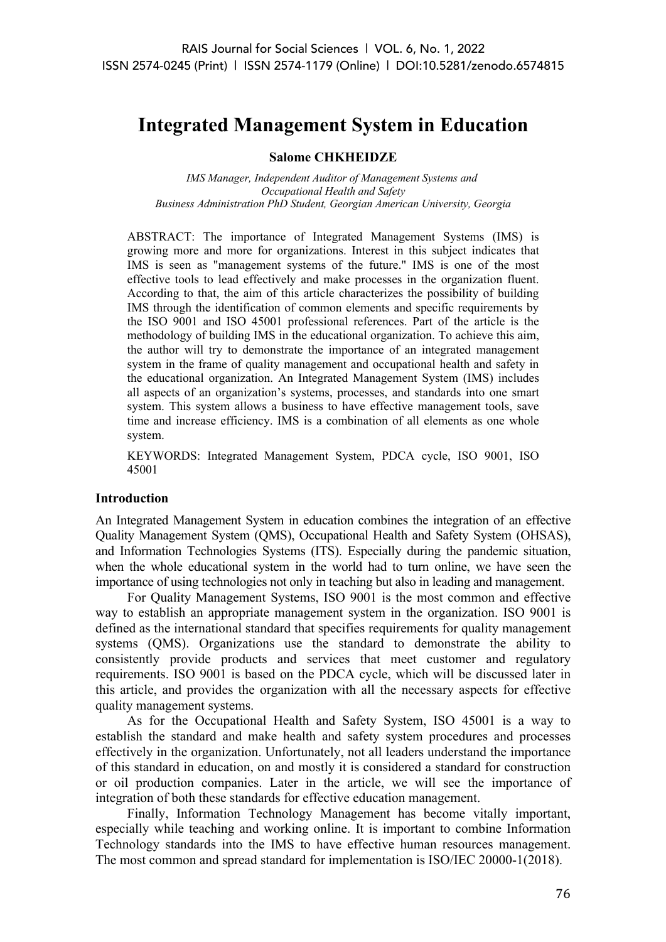# **Integrated Management System in Education**

## **Salome CHKHEIDZE**

*IMS Manager, Independent Auditor of Management Systems and Occupational Health and Safety Business Administration PhD Student, Georgian American University, Georgia*

ABSTRACT: The importance of Integrated Management Systems (IMS) is growing more and more for organizations. Interest in this subject indicates that IMS is seen as "management systems of the future." IMS is one of the most effective tools to lead effectively and make processes in the organization fluent. According to that, the aim of this article characterizes the possibility of building IMS through the identification of common elements and specific requirements by the ISO 9001 and ISO 45001 professional references. Part of the article is the methodology of building IMS in the educational organization. To achieve this aim, the author will try to demonstrate the importance of an integrated management system in the frame of quality management and occupational health and safety in the educational organization. An Integrated Management System (IMS) includes all aspects of an organization's systems, processes, and standards into one smart system. This system allows a business to have effective management tools, save time and increase efficiency. IMS is a combination of all elements as one whole system.

KEYWORDS: Integrated Management System, PDCA cycle, ISO 9001, ISO 45001

#### **Introduction**

An Integrated Management System in education combines the integration of an effective Quality Management System (QMS), Occupational Health and Safety System (OHSAS), and Information Technologies Systems (ITS). Especially during the pandemic situation, when the whole educational system in the world had to turn online, we have seen the importance of using technologies not only in teaching but also in leading and management.

For Quality Management Systems, ISO 9001 is the most common and effective way to establish an appropriate management system in the organization. ISO 9001 is defined as the international standard that specifies requirements for quality management systems (QMS). Organizations use the standard to demonstrate the ability to consistently provide products and services that meet customer and regulatory requirements. ISO 9001 is based on the PDCA cycle, which will be discussed later in this article, and provides the organization with all the necessary aspects for effective quality management systems.

As for the Occupational Health and Safety System, ISO 45001 is a way to establish the standard and make health and safety system procedures and processes effectively in the organization. Unfortunately, not all leaders understand the importance of this standard in education, on and mostly it is considered a standard for construction or oil production companies. Later in the article, we will see the importance of integration of both these standards for effective education management.

Finally, Information Technology Management has become vitally important, especially while teaching and working online. It is important to combine Information Technology standards into the IMS to have effective human resources management. The most common and spread standard for implementation is ISO/IEC 20000-1(2018).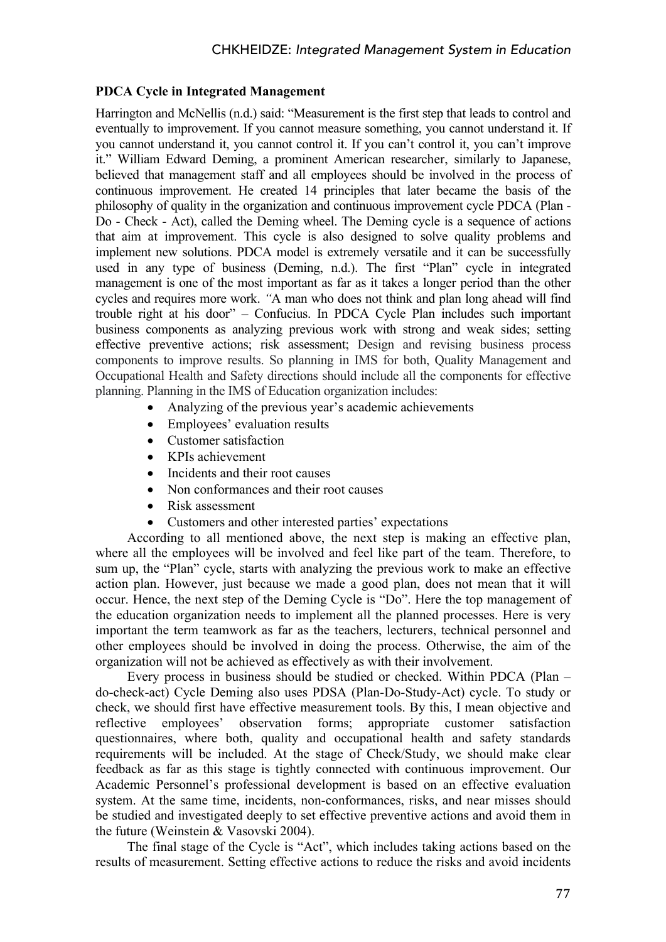## **PDCA Cycle in Integrated Management**

Harrington and McNellis (n.d.) said: "Measurement is the first step that leads to control and eventually to improvement. If you cannot measure something, you cannot understand it. If you cannot understand it, you cannot control it. If you can't control it, you can't improve it." William Edward Deming, a prominent American researcher, similarly to Japanese, believed that management staff and all employees should be involved in the process of continuous improvement. He created 14 principles that later became the basis of the philosophy of quality in the organization and continuous improvement cycle PDCA (Plan - Do - Check - Act), called the Deming wheel. The Deming cycle is a sequence of actions that aim at improvement. This cycle is also designed to solve quality problems and implement new solutions. PDCA model is extremely versatile and it can be successfully used in any type of business (Deming, n.d.). The first "Plan" cycle in integrated management is one of the most important as far as it takes a longer period than the other cycles and requires more work. *"*A man who does not think and plan long ahead will find trouble right at his door" – Confucius. In PDCA Cycle Plan includes such important business components as analyzing previous work with strong and weak sides; setting effective preventive actions; risk assessment; Design and revising business process components to improve results. So planning in IMS for both, Quality Management and Occupational Health and Safety directions should include all the components for effective planning. Planning in the IMS of Education organization includes:

- Analyzing of the previous year's academic achievements
- Employees' evaluation results
- Customer satisfaction
- KPIs achievement
- Incidents and their root causes
- Non conformances and their root causes
- Risk assessment
- Customers and other interested parties' expectations

According to all mentioned above, the next step is making an effective plan, where all the employees will be involved and feel like part of the team. Therefore, to sum up, the "Plan" cycle, starts with analyzing the previous work to make an effective action plan. However, just because we made a good plan, does not mean that it will occur. Hence, the next step of the Deming Cycle is "Do". Here the top management of the education organization needs to implement all the planned processes. Here is very important the term teamwork as far as the teachers, lecturers, technical personnel and other employees should be involved in doing the process. Otherwise, the aim of the organization will not be achieved as effectively as with their involvement.

Every process in business should be studied or checked. Within PDCA (Plan – do-check-act) Cycle Deming also uses PDSA (Plan-Do-Study-Act) cycle. To study or check, we should first have effective measurement tools. By this, I mean objective and reflective employees' observation forms; appropriate customer satisfaction questionnaires, where both, quality and occupational health and safety standards requirements will be included. At the stage of Check/Study, we should make clear feedback as far as this stage is tightly connected with continuous improvement. Our Academic Personnel's professional development is based on an effective evaluation system. At the same time, incidents, non-conformances, risks, and near misses should be studied and investigated deeply to set effective preventive actions and avoid them in the future (Weinstein & Vasovski 2004).

The final stage of the Cycle is "Act", which includes taking actions based on the results of measurement. Setting effective actions to reduce the risks and avoid incidents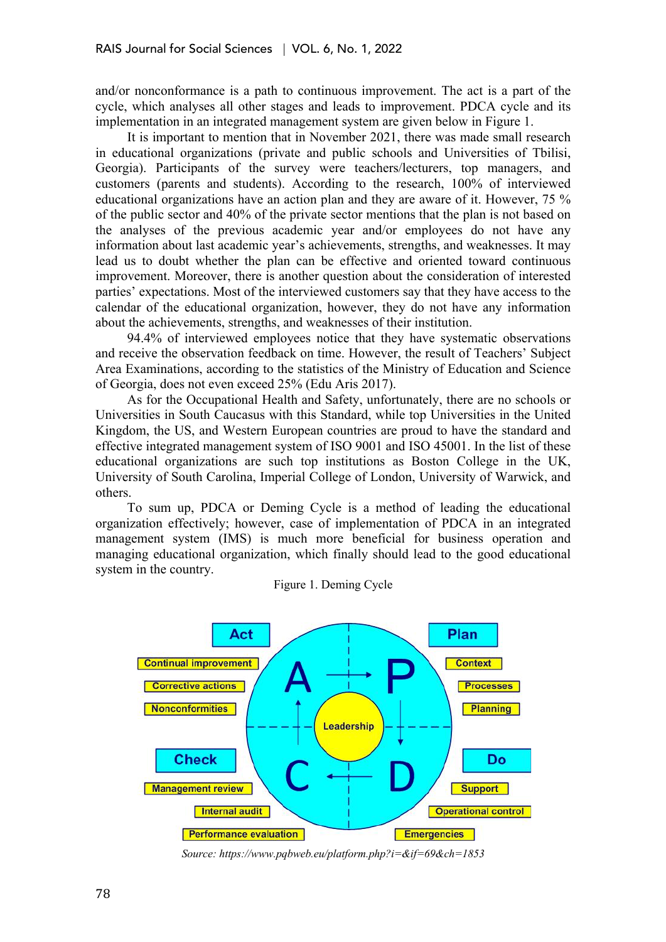and/or nonconformance is a path to continuous improvement. The act is a part of the cycle, which analyses all other stages and leads to improvement. PDCA cycle and its implementation in an integrated management system are given below in Figure 1.

It is important to mention that in November 2021, there was made small research in educational organizations (private and public schools and Universities of Tbilisi, Georgia). Participants of the survey were teachers/lecturers, top managers, and customers (parents and students). According to the research, 100% of interviewed educational organizations have an action plan and they are aware of it. However, 75 % of the public sector and 40% of the private sector mentions that the plan is not based on the analyses of the previous academic year and/or employees do not have any information about last academic year's achievements, strengths, and weaknesses. It may lead us to doubt whether the plan can be effective and oriented toward continuous improvement. Moreover, there is another question about the consideration of interested parties' expectations. Most of the interviewed customers say that they have access to the calendar of the educational organization, however, they do not have any information about the achievements, strengths, and weaknesses of their institution.

94.4% of interviewed employees notice that they have systematic observations and receive the observation feedback on time. However, the result of Teachers' Subject Area Examinations, according to the statistics of the Ministry of Education and Science of Georgia, does not even exceed 25% (Edu Aris 2017).

As for the Occupational Health and Safety, unfortunately, there are no schools or Universities in South Caucasus with this Standard, while top Universities in the United Kingdom, the US, and Western European countries are proud to have the standard and effective integrated management system of ISO 9001 and ISO 45001. In the list of these educational organizations are such top institutions as Boston College in the UK, University of South Carolina, Imperial College of London, University of Warwick, and others.

To sum up, PDCA or Deming Cycle is a method of leading the educational organization effectively; however, case of implementation of PDCA in an integrated management system (IMS) is much more beneficial for business operation and managing educational organization, which finally should lead to the good educational system in the country.

Figure 1. Deming Cycle



*Source: https://www.pqbweb.eu/platform.php?i=&if=69&ch=1853*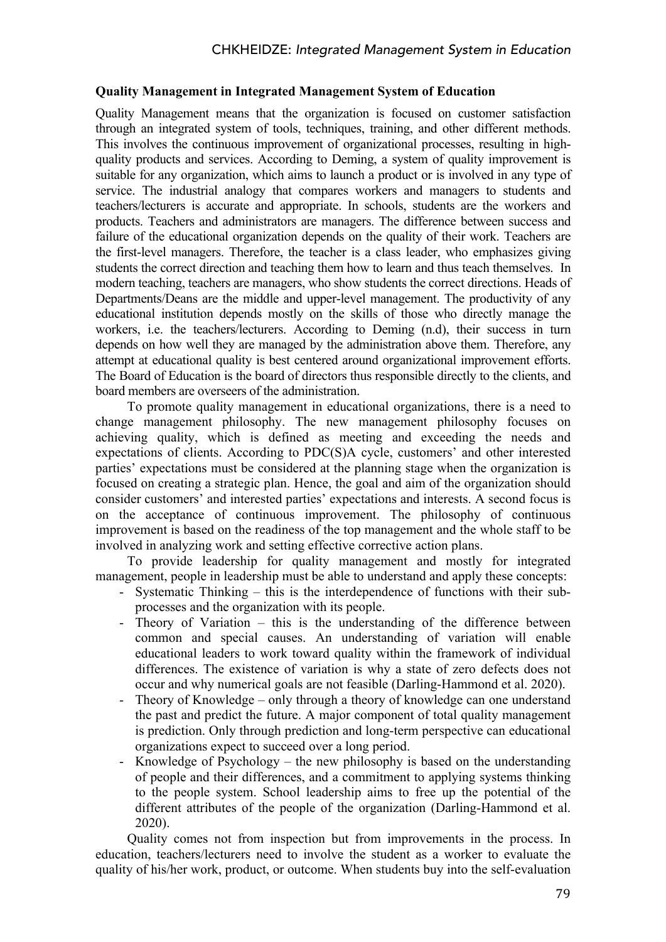## **Quality Management in Integrated Management System of Education**

Quality Management means that the organization is focused on customer satisfaction through an integrated system of tools, techniques, training, and other different methods. This involves the continuous improvement of organizational processes, resulting in highquality products and services. According to Deming, a system of quality improvement is suitable for any organization, which aims to launch a product or is involved in any type of service. The industrial analogy that compares workers and managers to students and teachers/lecturers is accurate and appropriate. In schools, students are the workers and products. Teachers and administrators are managers. The difference between success and failure of the educational organization depends on the quality of their work. Teachers are the first-level managers. Therefore, the teacher is a class leader, who emphasizes giving students the correct direction and teaching them how to learn and thus teach themselves. In modern teaching, teachers are managers, who show students the correct directions. Heads of Departments/Deans are the middle and upper-level management. The productivity of any educational institution depends mostly on the skills of those who directly manage the workers, i.e. the teachers/lecturers. According to Deming (n.d), their success in turn depends on how well they are managed by the administration above them. Therefore, any attempt at educational quality is best centered around organizational improvement efforts. The Board of Education is the board of directors thus responsible directly to the clients, and board members are overseers of the administration.

To promote quality management in educational organizations, there is a need to change management philosophy. The new management philosophy focuses on achieving quality, which is defined as meeting and exceeding the needs and expectations of clients. According to PDC(S)A cycle, customers' and other interested parties' expectations must be considered at the planning stage when the organization is focused on creating a strategic plan. Hence, the goal and aim of the organization should consider customers' and interested parties' expectations and interests. A second focus is on the acceptance of continuous improvement. The philosophy of continuous improvement is based on the readiness of the top management and the whole staff to be involved in analyzing work and setting effective corrective action plans.

To provide leadership for quality management and mostly for integrated management, people in leadership must be able to understand and apply these concepts:

- Systematic Thinking this is the interdependence of functions with their subprocesses and the organization with its people.
- Theory of Variation this is the understanding of the difference between common and special causes. An understanding of variation will enable educational leaders to work toward quality within the framework of individual differences. The existence of variation is why a state of zero defects does not occur and why numerical goals are not feasible (Darling-Hammond et al. 2020).
- Theory of Knowledge only through a theory of knowledge can one understand the past and predict the future. A major component of total quality management is prediction. Only through prediction and long-term perspective can educational organizations expect to succeed over a long period.
- Knowledge of Psychology the new philosophy is based on the understanding of people and their differences, and a commitment to applying systems thinking to the people system. School leadership aims to free up the potential of the different attributes of the people of the organization (Darling-Hammond et al. 2020).

Quality comes not from inspection but from improvements in the process. In education, teachers/lecturers need to involve the student as a worker to evaluate the quality of his/her work, product, or outcome. When students buy into the self-evaluation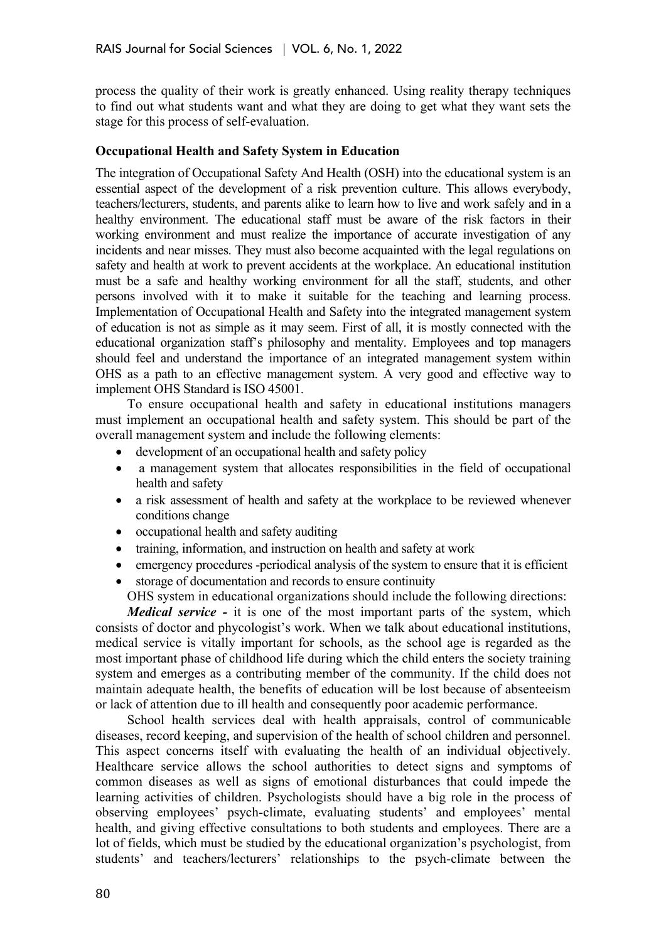process the quality of their work is greatly enhanced. Using reality therapy techniques to find out what students want and what they are doing to get what they want sets the stage for this process of self-evaluation.

## **Occupational Health and Safety System in Education**

The integration of Occupational Safety And Health (OSH) into the educational system is an essential aspect of the development of a risk prevention culture. This allows everybody, teachers/lecturers, students, and parents alike to learn how to live and work safely and in a healthy environment. The educational staff must be aware of the risk factors in their working environment and must realize the importance of accurate investigation of any incidents and near misses. They must also become acquainted with the legal regulations on safety and health at work to prevent accidents at the workplace. An educational institution must be a safe and healthy working environment for all the staff, students, and other persons involved with it to make it suitable for the teaching and learning process. Implementation of Occupational Health and Safety into the integrated management system of education is not as simple as it may seem. First of all, it is mostly connected with the educational organization staff's philosophy and mentality. Employees and top managers should feel and understand the importance of an integrated management system within OHS as a path to an effective management system. A very good and effective way to implement OHS Standard is ISO 45001.

To ensure occupational health and safety in educational institutions managers must implement an occupational health and safety system. This should be part of the overall management system and include the following elements:

- development of an occupational health and safety policy
- a management system that allocates responsibilities in the field of occupational health and safety
- a risk assessment of health and safety at the workplace to be reviewed whenever conditions change
- occupational health and safety auditing
- training, information, and instruction on health and safety at work
- emergency procedures -periodical analysis of the system to ensure that it is efficient
- storage of documentation and records to ensure continuity OHS system in educational organizations should include the following directions:

*Medical service* - it is one of the most important parts of the system, which consists of doctor and phycologist's work. When we talk about educational institutions, medical service is vitally important for schools, as the school age is regarded as the most important phase of childhood life during which the child enters the society training system and emerges as a contributing member of the community. If the child does not maintain adequate health, the benefits of education will be lost because of absenteeism or lack of attention due to ill health and consequently poor academic performance.

School health services deal with health appraisals, control of communicable diseases, record keeping, and supervision of the health of school children and personnel. This aspect concerns itself with evaluating the health of an individual objectively. Healthcare service allows the school authorities to detect signs and symptoms of common diseases as well as signs of emotional disturbances that could impede the learning activities of children. Psychologists should have a big role in the process of observing employees' psych-climate, evaluating students' and employees' mental health, and giving effective consultations to both students and employees. There are a lot of fields, which must be studied by the educational organization's psychologist, from students' and teachers/lecturers' relationships to the psych-climate between the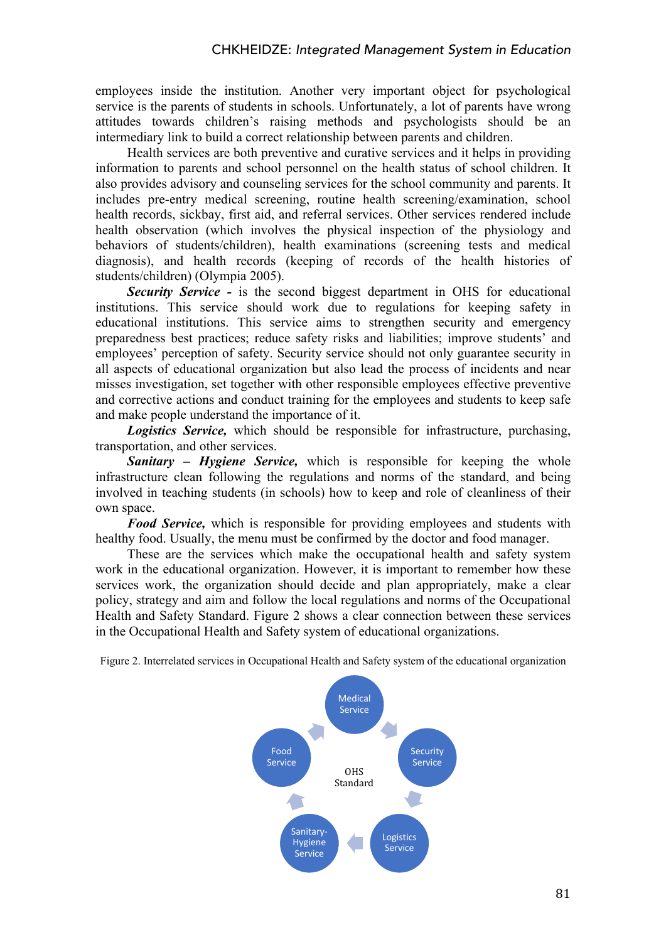employees inside the institution. Another very important object for psychological service is the parents of students in schools. Unfortunately, a lot of parents have wrong attitudes towards children's raising methods and psychologists should be an intermediary link to build a correct relationship between parents and children.

Health services are both preventive and curative services and it helps in providing information to parents and school personnel on the health status of school children. It also provides advisory and counseling services for the school community and parents. It includes pre-entry medical screening, routine health screening/examination, school health records, sickbay, first aid, and referral services. Other services rendered include health observation (which involves the physical inspection of the physiology and behaviors of students/children), health examinations (screening tests and medical diagnosis), and health records (keeping of records of the health histories of students/children) (Olympia 2005).

*Security Service -* is the second biggest department in OHS for educational institutions. This service should work due to regulations for keeping safety in educational institutions. This service aims to strengthen security and emergency preparedness best practices; reduce safety risks and liabilities; improve students' and employees' perception of safety. Security service should not only guarantee security in all aspects of educational organization but also lead the process of incidents and near misses investigation, set together with other responsible employees effective preventive and corrective actions and conduct training for the employees and students to keep safe and make people understand the importance of it.

*Logistics Service,* which should be responsible for infrastructure, purchasing, transportation, and other services.

*Sanitary – Hygiene Service,* which is responsible for keeping the whole infrastructure clean following the regulations and norms of the standard, and being involved in teaching students (in schools) how to keep and role of cleanliness of their own space.

*Food Service,* which is responsible for providing employees and students with healthy food. Usually, the menu must be confirmed by the doctor and food manager.

These are the services which make the occupational health and safety system work in the educational organization. However, it is important to remember how these services work, the organization should decide and plan appropriately, make a clear policy, strategy and aim and follow the local regulations and norms of the Occupational Health and Safety Standard. Figure 2 shows a clear connection between these services in the Occupational Health and Safety system of educational organizations.

Figure 2. Interrelated services in Occupational Health and Safety system of the educational organization

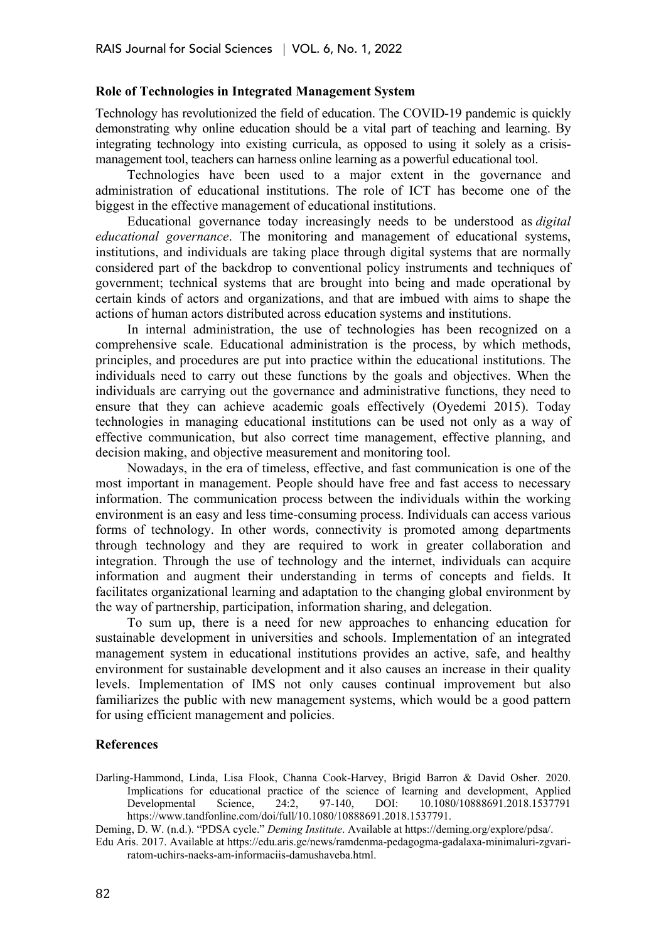#### **Role of Technologies in Integrated Management System**

Technology has revolutionized the field of education. The COVID-19 pandemic is quickly demonstrating why online education should be a vital part of teaching and learning. By integrating technology into existing curricula, as opposed to using it solely as a crisismanagement tool, teachers can harness online learning as a powerful educational tool.

Technologies have been used to a major extent in the governance and administration of educational institutions. The role of ICT has become one of the biggest in the effective management of educational institutions.

Educational governance today increasingly needs to be understood as *digital educational governance*. The monitoring and management of educational systems, institutions, and individuals are taking place through digital systems that are normally considered part of the backdrop to conventional policy instruments and techniques of government; technical systems that are brought into being and made operational by certain kinds of actors and organizations, and that are imbued with aims to shape the actions of human actors distributed across education systems and institutions.

In internal administration, the use of technologies has been recognized on a comprehensive scale. Educational administration is the process, by which methods, principles, and procedures are put into practice within the educational institutions. The individuals need to carry out these functions by the goals and objectives. When the individuals are carrying out the governance and administrative functions, they need to ensure that they can achieve academic goals effectively (Oyedemi 2015). Today technologies in managing educational institutions can be used not only as a way of effective communication, but also correct time management, effective planning, and decision making, and objective measurement and monitoring tool.

Nowadays, in the era of timeless, effective, and fast communication is one of the most important in management. People should have free and fast access to necessary information. The communication process between the individuals within the working environment is an easy and less time-consuming process. Individuals can access various forms of technology. In other words, connectivity is promoted among departments through technology and they are required to work in greater collaboration and integration. Through the use of technology and the internet, individuals can acquire information and augment their understanding in terms of concepts and fields. It facilitates organizational learning and adaptation to the changing global environment by the way of partnership, participation, information sharing, and delegation.

To sum up, there is a need for new approaches to enhancing education for sustainable development in universities and schools. Implementation of an integrated management system in educational institutions provides an active, safe, and healthy environment for sustainable development and it also causes an increase in their quality levels. Implementation of IMS not only causes continual improvement but also familiarizes the public with new management systems, which would be a good pattern for using efficient management and policies.

### **References**

Darling-Hammond, Linda, Lisa Flook, Channa Cook-Harvey, Brigid Barron & David Osher. 2020. Implications for educational practice of the science of learning and development, Applied Developmental Science, 24:2, 97-140, DOI: 10.1080/10888691.2018.1537791 https://www.tandfonline.com/doi/full/10.1080/10888691.2018.1537791.

Deming, D. W. (n.d.). "PDSA cycle." *Deming Institute*. Available at https://deming.org/explore/pdsa/.

Edu Aris. 2017. Available at https://edu.aris.ge/news/ramdenma-pedagogma-gadalaxa-minimaluri-zgvariratom-uchirs-naeks-am-informaciis-damushaveba.html.